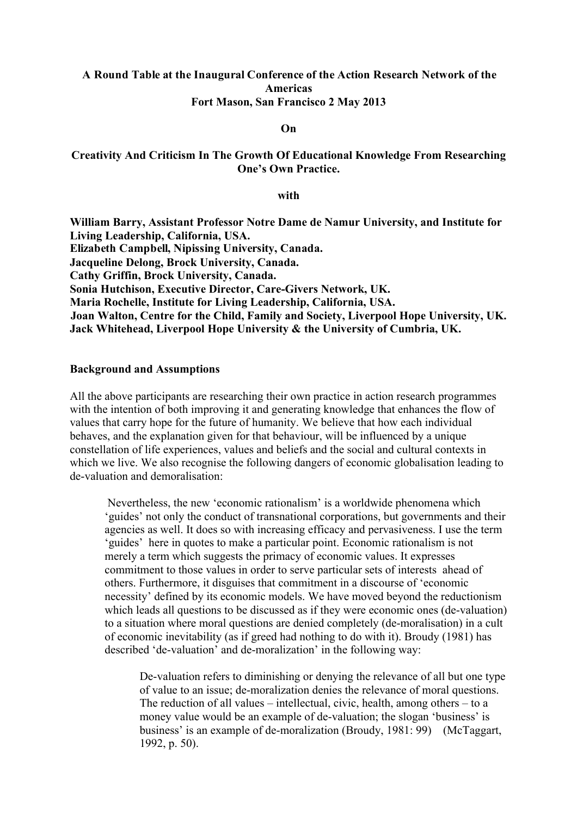#### **Americas Fort Mason, San Francisco 2 May 2013 A Round Table at the Inaugural Conference of the Action Research Network of the**

#### **On**

#### **Creativity And Criticism In The Growth Of Educational Knowledge From Researching One's Own Practice.**

#### **with**

**William Barry, Assistant Professor Notre Dame de Namur University, and Institute for Living Leadership, California, USA. Jacqueline Delong, Brock University, Canada. Cathy Griffin, Brock University, Canada. Sonia Hutchison, Executive Director, Care-Givers Network, UK. Maria Rochelle, Institute for Living Leadership, California, USA. Joan Walton, Centre for the Child, Family and Society, Liverpool Hope University, UK. Jack Whitehead, Liverpool Hope University & the University of Cumbria, UK. Elizabeth Campbell, Nipissing University, Canada.**

#### **Background and Assumptions**

All the above participants are researching their own practice in action research programmes with the intention of both improving it and generating knowledge that enhances the flow of values that carry hope for the future of humanity. We believe that how each individual behaves, and the explanation given for that behaviour, will be influenced by a unique constellation of life experiences, values and beliefs and the social and cultural contexts in which we live. We also recognise the following dangers of economic globalisation leading to de-valuation and demoralisation:

Nevertheless, the new 'economic rationalism' is a worldwide phenomena which 'guides' not only the conduct of transnational corporations, but governments and their agencies as well. It does so with increasing efficacy and pervasiveness. I use the term 'guides' here in quotes to make a particular point. Economic rationalism is not merely a term which suggests the primacy of economic values. It expresses commitment to those values in order to serve particular sets of interests ahead of others. Furthermore, it disguises that commitment in a discourse of 'economic necessity' defined by its economic models. We have moved beyond the reductionism which leads all questions to be discussed as if they were economic ones (de-valuation) to a situation where moral questions are denied completely (de-moralisation) in a cult of economic inevitability (as if greed had nothing to do with it). Broudy (1981) has described 'de-valuation' and de-moralization' in the following way:

De-valuation refers to diminishing or denying the relevance of all but one type of value to an issue; de-moralization denies the relevance of moral questions. The reduction of all values – intellectual, civic, health, among others – to a money value would be an example of de-valuation; the slogan 'business' is business' is an example of de-moralization (Broudy, 1981: 99) (McTaggart, 1992, p. 50).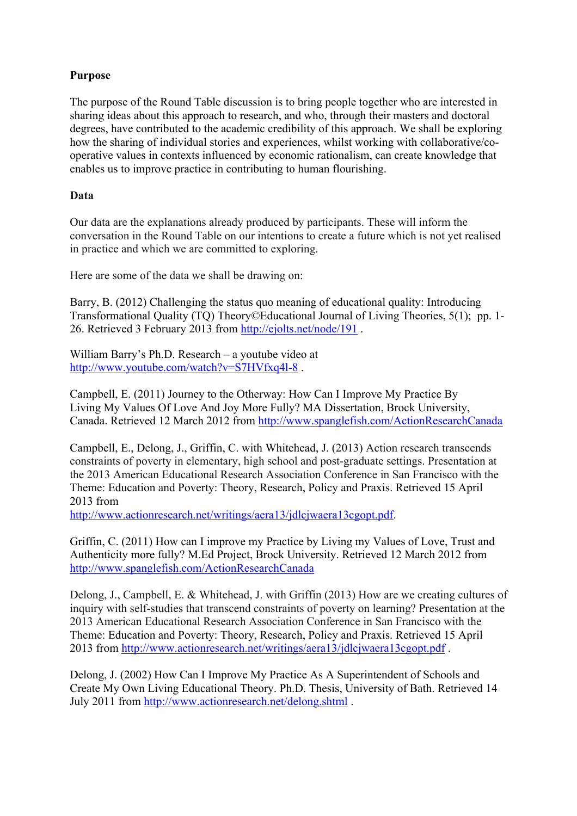#### **Purpose**

The purpose of the Round Table discussion is to bring people together who are interested in sharing ideas about this approach to research, and who, through their masters and doctoral degrees, have contributed to the academic credibility of this approach. We shall be exploring how the sharing of individual stories and experiences, whilst working with collaborative/cooperative values in contexts influenced by economic rationalism, can create knowledge that enables us to improve practice in contributing to human flourishing.

#### **Data**

Our data are the explanations already produced by participants. These will inform the conversation in the Round Table on our intentions to create a future which is not yet realised in practice and which we are committed to exploring.

Here are some of the data we shall be drawing on:

Barry, B. (2012) Challenging the status quo meaning of educational quality: Introducing Transformational Quality (TQ) Theory©Educational Journal of Living Theories, 5(1); pp. 1- 26. Retrieved 3 February 2013 from [http://ejolts.net/node/191 .](http://ejolts.net/node/191)

William Barry's Ph.D. Research – a youtube video at [http://www.youtube.com/watch?v=S7HVfxq4l-8 .](http://www.youtube.com/watch?v=S7HVfxq4l-8)

Campbell, E. (2011) Journey to the Otherway: How Can I Improve My Practice By Living My Values Of Love And Joy More Fully? MA Dissertation, Brock University, Canada. Retrieved 12 March 2012 fro[m http://www.spanglefish.com/ActionResearchCanada](http://www.spanglefish.com/ActionResearchCanada)

Campbell, E., Delong, J., Griffin, C. with Whitehead, J. (2013) Action research transcends constraints of poverty in elementary, high school and post-graduate settings. Presentation at the 2013 American Educational Research Association Conference in San Francisco with the Theme: Education and Poverty: Theory, Research, Policy and Praxis. Retrieved 15 April 2013 from

[http://www.actionresearch.net/writings/aera13/jdlcjwaera13cgopt.pdf.](http://www.actionresearch.net/writings/aera13/jdlcjwaera13cgopt.pdf)

Griffin, C. (2011) How can I improve my Practice by Living my Values of Love, Trust and Authenticity more fully? M.Ed Project, Brock University. Retrieved 12 March 2012 from <http://www.spanglefish.com/ActionResearchCanada>

Delong, J., Campbell, E. & Whitehead, J. with Griffin (2013) How are we creating cultures of inquiry with self-studies that transcend constraints of poverty on learning? Presentation at the 2013 American Educational Research Association Conference in San Francisco with the Theme: Education and Poverty: Theory, Research, Policy and Praxis. Retrieved 15 April 2013 from [http://www.actionresearch.net/writings/aera13/jdlcjwaera13cgopt.pdf .](http://www.actionresearch.net/writings/aera13/jdlcjwaera13cgopt.pdf)

Delong, J. (2002) How Can I Improve My Practice As A Superintendent of Schools and Create My Own Living Educational Theory. Ph.D. Thesis, University of Bath. Retrieved 14 July 2011 from [http://www.actionresearch.net/delong.shtml .](http://www.actionresearch.net/delong.shtml)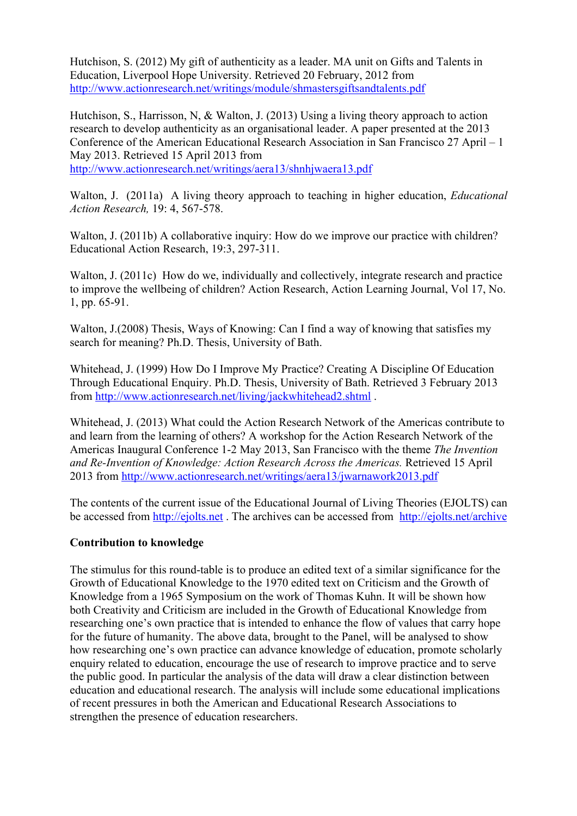Hutchison, S. (2012) My gift of authenticity as a leader. MA unit on Gifts and Talents in Education, Liverpool Hope University. Retrieved 20 February, 2012 from <http://www.actionresearch.net/writings/module/shmastersgiftsandtalents.pdf>

Hutchison, S., Harrisson, N, & Walton, J. (2013) Using a living theory approach to action research to develop authenticity as an organisational leader. A paper presented at the 2013 Conference of the American Educational Research Association in San Francisco 27 April – 1 May 2013. Retrieved 15 April 2013 from

<http://www.actionresearch.net/writings/aera13/shnhjwaera13.pdf>

Walton, J. (2011a) A living theory approach to teaching in higher education, *Educational Action Research,* 19: 4, 567-578.

Walton, J. (2011b) A collaborative inquiry: How do we improve our practice with children? Educational Action Research, 19:3, 297-311.

Walton, J. (2011c) How do we, individually and collectively, integrate research and practice to improve the wellbeing of children? Action Research, Action Learning Journal, Vol 17, No. 1, pp. 65-91.

Walton, J.(2008) Thesis, Ways of Knowing: Can I find a way of knowing that satisfies my search for meaning? Ph.D. Thesis, University of Bath.

Whitehead, J. (1999) How Do I Improve My Practice? Creating A Discipline Of Education Through Educational Enquiry. Ph.D. Thesis, University of Bath. Retrieved 3 February 2013 from<http://www.actionresearch.net/living/jackwhitehead2.shtml>.

Whitehead, J. (2013) What could the Action Research Network of the Americas contribute to and learn from the learning of others? A workshop for the Action Research Network of the Americas Inaugural Conference 1-2 May 2013, San Francisco with the theme *The Invention and Re-Invention of Knowledge: Action Research Across the Americas.* Retrieved 15 April 2013 from<http://www.actionresearch.net/writings/aera13/jwarnawork2013.pdf>

The contents of the current issue of the Educational Journal of Living Theories (EJOLTS) can be accessed from<http://ejolts.net> . The archives can be accessed from <http://ejolts.net/archive>

#### **Contribution to knowledge**

The stimulus for this round-table is to produce an edited text of a similar significance for the Growth of Educational Knowledge to the 1970 edited text on Criticism and the Growth of Knowledge from a 1965 Symposium on the work of Thomas Kuhn. It will be shown how both Creativity and Criticism are included in the Growth of Educational Knowledge from researching one's own practice that is intended to enhance the flow of values that carry hope for the future of humanity. The above data, brought to the Panel, will be analysed to show how researching one's own practice can advance knowledge of education, promote scholarly enquiry related to education, encourage the use of research to improve practice and to serve the public good. In particular the analysis of the data will draw a clear distinction between education and educational research. The analysis will include some educational implications of recent pressures in both the American and Educational Research Associations to strengthen the presence of education researchers.